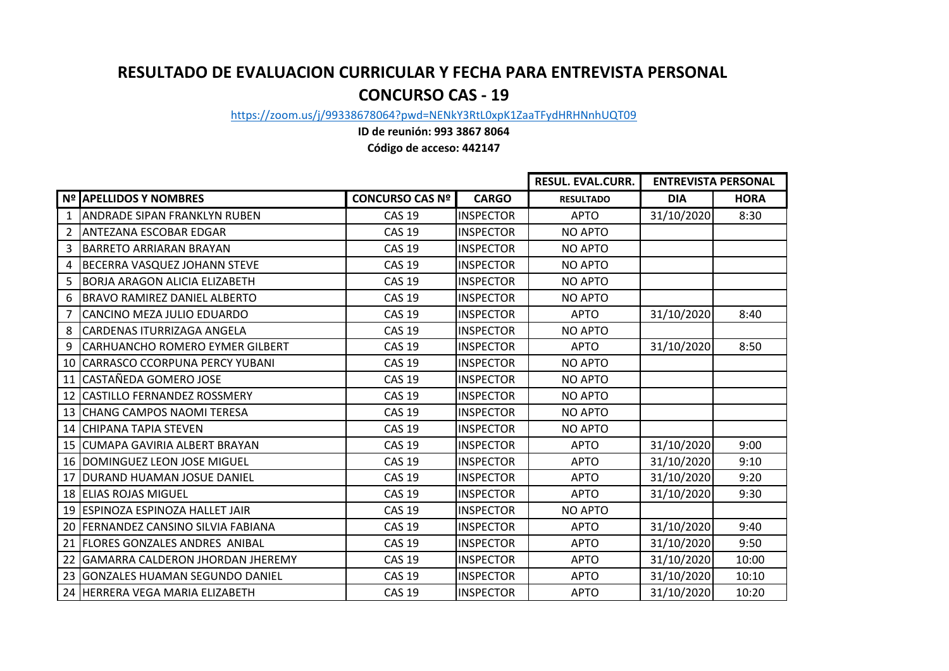## **RESULTADO DE EVALUACION CURRICULAR Y FECHA PARA ENTREVISTA PERSONAL CONCURSO CAS - 19**

[https://zoom.us/j/9933](https://zoom.us/j/99338678064?pwd=NENkY3RtL0xpK1ZaaTFydHRHNnhUQT09)8678064?pwd=NENkY3RtL0xpK1ZaaTFydHRHNnhUQT09

**ID de reunión: 993 3867 8064**

**Código de acceso: 442147**

|                |                                         |                        |                  | <b>RESUL. EVAL.CURR.</b> | <b>ENTREVISTA PERSONAL</b> |             |
|----------------|-----------------------------------------|------------------------|------------------|--------------------------|----------------------------|-------------|
|                | Nº APELLIDOS Y NOMBRES                  | <b>CONCURSO CAS Nº</b> | <b>CARGO</b>     | <b>RESULTADO</b>         | <b>DIA</b>                 | <b>HORA</b> |
| 1              | <b>ANDRADE SIPAN FRANKLYN RUBEN</b>     | <b>CAS 19</b>          | <b>INSPECTOR</b> | <b>APTO</b>              | 31/10/2020                 | 8:30        |
| $\overline{2}$ | <b>ANTEZANA ESCOBAR EDGAR</b>           | <b>CAS 19</b>          | <b>INSPECTOR</b> | <b>NO APTO</b>           |                            |             |
| 3              | BARRETO ARRIARAN BRAYAN                 | <b>CAS 19</b>          | <b>INSPECTOR</b> | <b>NO APTO</b>           |                            |             |
| 4              | <b>BECERRA VASQUEZ JOHANN STEVE</b>     | <b>CAS 19</b>          | <b>INSPECTOR</b> | <b>NO APTO</b>           |                            |             |
| 5              | <b>BORJA ARAGON ALICIA ELIZABETH</b>    | <b>CAS 19</b>          | <b>INSPECTOR</b> | <b>NO APTO</b>           |                            |             |
| 6              | <b>BRAVO RAMIREZ DANIEL ALBERTO</b>     | <b>CAS 19</b>          | <b>INSPECTOR</b> | <b>NO APTO</b>           |                            |             |
| 7              | CANCINO MEZA JULIO EDUARDO              | <b>CAS 19</b>          | <b>INSPECTOR</b> | <b>APTO</b>              | 31/10/2020                 | 8:40        |
| 8              | CARDENAS ITURRIZAGA ANGELA              | <b>CAS 19</b>          | <b>INSPECTOR</b> | NO APTO                  |                            |             |
| 9              | <b>CARHUANCHO ROMERO EYMER GILBERT</b>  | <b>CAS 19</b>          | <b>INSPECTOR</b> | <b>APTO</b>              | 31/10/2020                 | 8:50        |
| 10             | CARRASCO CCORPUNA PERCY YUBANI          | <b>CAS 19</b>          | <b>INSPECTOR</b> | <b>NO APTO</b>           |                            |             |
| 11             | CASTAÑEDA GOMERO JOSE                   | <b>CAS 19</b>          | <b>INSPECTOR</b> | <b>NO APTO</b>           |                            |             |
| 12             | CASTILLO FERNANDEZ ROSSMERY             | <b>CAS 19</b>          | <b>INSPECTOR</b> | <b>NO APTO</b>           |                            |             |
|                | 13 CHANG CAMPOS NAOMI TERESA            | <b>CAS 19</b>          | <b>INSPECTOR</b> | <b>NO APTO</b>           |                            |             |
|                | 14 CHIPANA TAPIA STEVEN                 | <b>CAS 19</b>          | <b>INSPECTOR</b> | <b>NO APTO</b>           |                            |             |
|                | 15 CUMAPA GAVIRIA ALBERT BRAYAN         | <b>CAS 19</b>          | <b>INSPECTOR</b> | <b>APTO</b>              | 31/10/2020                 | 9:00        |
|                | 16   DOMINGUEZ LEON JOSE MIGUEL         | <b>CAS 19</b>          | <b>INSPECTOR</b> | <b>APTO</b>              | 31/10/2020                 | 9:10        |
| 17             | DURAND HUAMAN JOSUE DANIEL              | <b>CAS 19</b>          | <b>INSPECTOR</b> | <b>APTO</b>              | 31/10/2020                 | 9:20        |
|                | 18 ELIAS ROJAS MIGUEL                   | <b>CAS 19</b>          | <b>INSPECTOR</b> | <b>APTO</b>              | 31/10/2020                 | 9:30        |
|                | 19 ESPINOZA ESPINOZA HALLET JAIR        | <b>CAS 19</b>          | <b>INSPECTOR</b> | <b>NO APTO</b>           |                            |             |
|                | 20 FERNANDEZ CANSINO SILVIA FABIANA     | <b>CAS 19</b>          | <b>INSPECTOR</b> | <b>APTO</b>              | 31/10/2020                 | 9:40        |
|                | 21 FLORES GONZALES ANDRES ANIBAL        | <b>CAS 19</b>          | <b>INSPECTOR</b> | <b>APTO</b>              | 31/10/2020                 | 9:50        |
| 22             | <b>GAMARRA CALDERON JHORDAN JHEREMY</b> | <b>CAS 19</b>          | <b>INSPECTOR</b> | <b>APTO</b>              | 31/10/2020                 | 10:00       |
|                | 23 GONZALES HUAMAN SEGUNDO DANIEL       | <b>CAS 19</b>          | <b>INSPECTOR</b> | <b>APTO</b>              | 31/10/2020                 | 10:10       |
|                | 24 HERRERA VEGA MARIA ELIZABETH         | <b>CAS 19</b>          | <b>INSPECTOR</b> | <b>APTO</b>              | 31/10/2020                 | 10:20       |